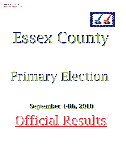

# Essex County

## Primary Election Primary Election

## September 14th, 2010 September 14th, 2010 Official Results Official Results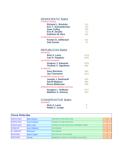| 121 |
|-----|
| 125 |
| 162 |
| 41  |
| 234 |
|     |
| 631 |
| 74  |
|     |

## REPUBLICAN Ballot

| 1278        |
|-------------|
| 1260        |
|             |
| 1523<br>665 |
|             |
| 863         |
| 1312        |
|             |
| 820         |
| 883         |
| 549         |
|             |
| 1071        |
| 823         |
|             |

| <b>GOVERNOR</b>        |  |
|------------------------|--|
| <b>Rick A. Lazio</b>   |  |
| <b>Ralph C. Lorigo</b> |  |

| <b>Town Write-Ins</b> |                       |                                               |  |
|-----------------------|-----------------------|-----------------------------------------------|--|
| <b>NORTH ELBA</b>     | <b>Matt Doheny</b>    | UNITED STATES SENATOR                         |  |
| <b>NORTH ELBA</b>     | <b>Tom Golisano</b>   | UNITED STATES SENATOR                         |  |
| <b>NORTH ELBA</b>     | <b>Betty Little</b>   | UNITED STATES SENATOR UNEXPIRED TERM          |  |
| <b>SCHROON</b>        | <b>Gary Williford</b> | <b>GOVERNOR</b>                               |  |
| <b>ST ARMAND</b>      | Patterson             | <b>GOVERNOR</b>                               |  |
| <b>WESTPORT</b>       | <b>Emest Lapine</b>   | LIEUTENANT GOVERNOR                           |  |
| <b>WESTPORT</b>       | <b>Owens</b>          | <b>REPRESENTATIVE IN CONGRESS (23rd DIST)</b> |  |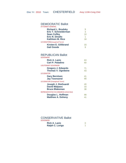| <b>Richard L. Brodsky</b>          |    |
|------------------------------------|----|
| <b>Eric T. Schneiderman</b>        | 3  |
| <b>Sean Coffey</b>                 | 10 |
| <b>Eric R. Dinallo</b>             | 1  |
| <b>Kathleen M. Rice</b>            | 18 |
| <b>US SENATOR (Unexpired Term)</b> |    |
| <b>Kirsten E. Gillibrand</b>       | 33 |
| <b>Gail Goode</b>                  |    |
|                                    |    |

## REPUBLICAN Ballot

| <b>GOVERNOR</b>                        |    |
|----------------------------------------|----|
| <b>Rick A. Lazio</b>                   | 63 |
| Carl P. Paladino                       | 60 |
| <b>LIEUTENANT GOVERNOR</b>             |    |
| <b>Gregory J. Edwards</b>              | 71 |
| <b>Thomas V. Ognibene</b>              | 43 |
| <b>US SENATOR</b>                      |    |
| <b>Gary Berntsen</b>                   | 41 |
| <b>Jay Townsend</b>                    | 68 |
| <b>US SENATOR (Unexpired Term)</b>     |    |
| Joseph J. DioGuardi                    | 40 |
| <b>David Malpass</b>                   | 33 |
| <b>Bruce Blakeman</b>                  | 38 |
| REPRESENTATIVE IN CONGRESS (23rd Dist) |    |
| Douglas L. Hoffman                     | 88 |
| <b>Matthew A. Doheny</b>               | 41 |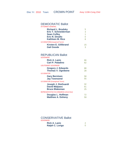| <b>ATTORNEY GENERAL</b>           |    |
|-----------------------------------|----|
| <b>Richard L. Brodsky</b>         | 5  |
| <b>Eric T. Schneiderman</b>       | 3  |
| <b>Sean Coffey</b>                | 1  |
| <b>Eric R. Dinallo</b>            |    |
| Kathleen M. Rice                  | 8  |
| <b>US SENATOR(Unexpired Term)</b> |    |
| Kirsten E. Gillibrand             | 15 |
| <b>Gail Goode</b>                 | 3  |

## REPUBLICAN Ballot

| <b>GOVERNOR</b>                        |    |
|----------------------------------------|----|
| <b>Rick A. Lazio</b>                   | 66 |
| <b>Carl P. Paladino</b>                | 62 |
| <b>LIEUTENANT GOVERNOR</b>             |    |
| <b>Gregory J. Edwards</b>              | 88 |
| <b>Thomas V. Ognibene</b>              | 28 |
| <b>US SENATOR</b>                      |    |
| <b>Gary Berntsen</b>                   | 58 |
| <b>Jay Townsend</b>                    | 55 |
| <b>US SENATOR (Unexpired Term)</b>     |    |
| Joseph J. DioGuardi                    | 32 |
| <b>David Malpass</b>                   | 61 |
| <b>Bruce Blakeman</b>                  | 25 |
| REPRESENTATIVE IN CONGRESS (23rd Dist) |    |
| Douglas L. Hoffman                     | 72 |
| <b>Matthew A. Doheny</b>               | 59 |

| ERNUR                  |  |
|------------------------|--|
| <b>Rick A. Lazio</b>   |  |
| <b>Ralph C. Lorigo</b> |  |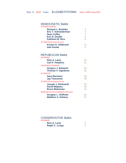| З  |
|----|
| 5  |
|    |
|    |
|    |
|    |
| 21 |
|    |
|    |

## REPUBLICAN Ballot

| <b>GOVERNOR</b>                        |    |
|----------------------------------------|----|
| <b>Rick A. Lazio</b>                   | 64 |
| Carl P. Paladino                       | 41 |
| <b>LIEUTENANT GOVERNOR</b>             |    |
| <b>Gregory J. Edwards</b>              | 62 |
| <b>Thomas V. Ognibene</b>              | 25 |
| <b>US SENATOR</b>                      |    |
| <b>Gary Berntsen</b>                   | 38 |
| <b>Jay Townsend</b>                    | 49 |
| <b>US SENATOR (Unexpired Term)</b>     |    |
| Joseph J. DioGuardi                    | 32 |
| <b>David Malpass</b>                   | 45 |
| <b>Bruce Blakeman</b>                  | 12 |
| REPRESENTATIVE IN CONGRESS (23rd Dist) |    |
| Douglas L. Hoffman                     | 62 |
| <b>Matthew A. Doheny</b>               | 47 |

| ERIVUR                 |  |
|------------------------|--|
| <b>Rick A. Lazio</b>   |  |
| <b>Ralph C. Lorigo</b> |  |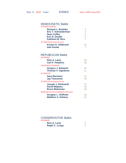| 5  |
|----|
| 4  |
| 5  |
|    |
| 7  |
|    |
| 22 |
| 1  |
|    |

## REPUBLICAN Ballot

| <b>GOVERNOR</b>                        |    |
|----------------------------------------|----|
| <b>Rick A. Lazio</b>                   | 39 |
| <b>Carl P. Paladino</b>                | 28 |
| <b>LIEUTENANT GOVERNOR</b>             |    |
| <b>Gregory J. Edwards</b>              | 45 |
| <b>Thomas V. Ognibene</b>              | 11 |
| <b>US SENATOR</b>                      |    |
| <b>Gary Berntsen</b>                   | 24 |
| <b>Jay Townsend</b>                    | 34 |
| <b>US SENATOR (Unexpired Term)</b>     |    |
| Joseph J. DioGuardi                    | 12 |
| <b>David Malpass</b>                   | 32 |
| <b>Bruce Blakeman</b>                  | 18 |
| REPRESENTATIVE IN CONGRESS (23rd Dist) |    |
| Douglas L. Hoffman                     | 36 |
| <b>Matthew A. Doheny</b>               | 32 |

| <b>GOVERNOR</b>        |  |
|------------------------|--|
| <b>Rick A. Lazio</b>   |  |
| <b>Ralph C. Lorigo</b> |  |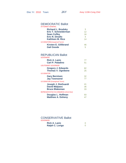| <b>ATTORNEY GENERAL</b>            |    |
|------------------------------------|----|
| <b>Richard L. Brodsky</b>          | 3  |
| <b>Eric T. Schneiderman</b>        | 12 |
| <b>Sean Coffey</b>                 | 16 |
| <b>Eric R. Dinallo</b>             | 4  |
| Kathleen M. Rice                   | 14 |
| <b>US SENATOR (Unexpired Term)</b> |    |
| <b>Kirsten E. Gillibrand</b>       | 46 |
| <b>Gail Goode</b>                  | 5  |

## REPUBLICAN Ballot

| <b>GOVERNOR</b>                        |    |
|----------------------------------------|----|
| <b>Rick A. Lazio</b>                   | 77 |
| <b>Carl P. Paladino</b>                | 51 |
| <b>LIEUTENANT GOVERNOR</b>             |    |
| <b>Gregory J. Edwards</b>              | 82 |
| <b>Thomas V. Ognibene</b>              | 25 |
| <b>US SENATOR</b>                      |    |
| <b>Gary Berntsen</b>                   | 32 |
| <b>Jay Townsend</b>                    | 77 |
| <b>US SENATOR (Unexpired Term)</b>     |    |
| Joseph J. DioGuardi                    | 41 |
| <b>David Malpass</b>                   | 36 |
| <b>Bruce Blakeman</b>                  | 33 |
| REPRESENTATIVE IN CONGRESS (23rd Dist) |    |
| Douglas L. Hoffman                     | 93 |
| <b>Matthew A. Doheny</b>               | 47 |

| <b>GOVERNOR</b>        |  |
|------------------------|--|
| Rick A. Lazio          |  |
| <b>Ralph C. Lorigo</b> |  |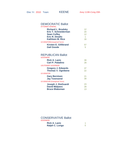| <b>ATTORNEY GENERAL</b>            |    |
|------------------------------------|----|
| <b>Richard L. Brodsky</b>          | 12 |
| <b>Eric T. Schneiderman</b>        | 20 |
| <b>Sean Coffey</b>                 | 12 |
| <b>Eric R. Dinallo</b>             |    |
| Kathleen M. Rice                   | 16 |
| <b>US SENATOR (Unexpired Term)</b> |    |
| <b>Kirsten E. Gillibrand</b>       | 57 |
| <b>Gail Goode</b>                  | 5  |

## REPUBLICAN Ballot

| <b>GOVERNOR</b>                    |    |
|------------------------------------|----|
| <b>Rick A. Lazio</b>               | 39 |
| Carl P. Paladino                   | 28 |
| <b>LIEUTENANT GOVERNOR</b>         |    |
| <b>Gregory J. Edwards</b>          | 37 |
| <b>Thomas V. Ognibene</b>          | 22 |
| <b>US SENATOR</b>                  |    |
| <b>Gary Berntsen</b>               | 21 |
| <b>Jay Townsend</b>                | 39 |
| <b>US SENATOR (Unexpired Term)</b> |    |
| Joseph J. DioGuardi                | 23 |
| <b>David Malpass</b>               | 28 |
| <b>Bruce Blakeman</b>              | 13 |

| :KINUK                 |  |
|------------------------|--|
| <b>Rick A. Lazio</b>   |  |
| <b>Ralph C. Lorigo</b> |  |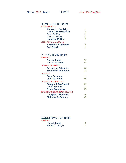| <b>Richard L. Brodsky</b>         |               |
|-----------------------------------|---------------|
| <b>Eric T. Schneiderman</b>       | $\mathcal{P}$ |
| <b>Sean Coffey</b>                | 2             |
| <b>Eric R. Dinallo</b>            | 1             |
| Kathleen M. Rice                  | 3             |
| <b>US SENATOR(Unexpired Term)</b> |               |
| <b>Kirsten E. Gillibrand</b>      |               |
| <b>Gail Goode</b>                 |               |

## REPUBLICAN Ballot

| <b>GOVERNOR</b>                        |    |
|----------------------------------------|----|
| <b>Rick A. Lazio</b>                   | 52 |
| Carl P. Paladino                       | 54 |
| <b>LIEUTENANT GOVERNOR</b>             |    |
| <b>Gregory J. Edwards</b>              | 66 |
| <b>Thomas V. Ognibene</b>              | 23 |
| <b>US SENATOR</b>                      |    |
| <b>Gary Berntsen</b>                   | 33 |
| <b>Jay Townsend</b>                    | 55 |
| <b>US SENATOR (Unexpired Term)</b>     |    |
| Joseph J. DioGuardi                    | 29 |
| <b>David Malpass</b>                   | 33 |
| <b>Bruce Blakeman</b>                  | 25 |
| REPRESENTATIVE IN CONGRESS (23rd Dist) |    |
| Douglas L. Hoffman                     | 49 |
| <b>Matthew A. Doheny</b>               | 65 |

| ERINUR                 |  |
|------------------------|--|
| <b>Rick A. Lazio</b>   |  |
| <b>Ralph C. Lorigo</b> |  |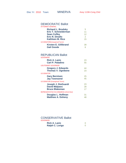| 5               |
|-----------------|
| 11              |
| 12 <sup>°</sup> |
| 2               |
| 15              |
|                 |
| 39              |
|                 |
|                 |

## REPUBLICAN Ballot

| <b>GOVERNOR</b>                        |    |
|----------------------------------------|----|
| <b>Rick A. Lazio</b>                   | 23 |
| Carl P. Paladino                       | 55 |
| <b>LIEUTENANT GOVERNOR</b>             |    |
| <b>Gregory J. Edwards</b>              | 44 |
| <b>Thomas V. Ognibene</b>              | 23 |
| <b>US SENATOR</b>                      |    |
| <b>Gary Berntsen</b>                   | 25 |
| <b>Jay Townsend</b>                    | 45 |
| <b>US SENATOR (Unexpired Term)</b>     |    |
| Joseph J. DioGuardi                    | 23 |
| <b>David Malpass</b>                   | 28 |
| <b>Bruce Blakeman</b>                  | 17 |
| REPRESENTATIVE IN CONGRESS (23rd Dist) |    |
| Douglas L. Hoffman                     | 31 |
| <b>Matthew A. Doheny</b>               | 48 |

| <b>GOVERNOR</b>        |  |
|------------------------|--|
| <b>Rick A. Lazio</b>   |  |
| <b>Ralph C. Lorigo</b> |  |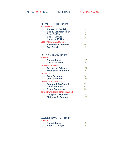| <b>AIIUNNEI ULIVENAL</b>           |    |
|------------------------------------|----|
| <b>Richard L. Brodsky</b>          |    |
| <b>Eric T. Schneiderman</b>        | 5  |
| <b>Sean Coffey</b>                 | 10 |
| <b>Eric R. Dinallo</b>             | 6  |
| Kathleen M. Rice                   | 19 |
| <b>US SENATOR (Unexpired Term)</b> |    |
| <b>Kirsten E. Gillibrand</b>       | 45 |
| <b>Gail Goode</b>                  |    |
|                                    |    |

## REPUBLICAN Ballot

| <b>GOVERNOR</b>                        |     |
|----------------------------------------|-----|
| <b>Rick A. Lazio</b>                   | 115 |
| Carl P. Paladino                       | 169 |
| <b>LIEUTENANT GOVERNOR</b>             |     |
| <b>Gregory J. Edwards</b>              | 171 |
| <b>Thomas V. Ognibene</b>              | 75  |
| <b>US SENATOR</b>                      |     |
| <b>Gary Berntsen</b>                   | 96  |
| <b>Jay Townsend</b>                    | 143 |
| <b>US SENATOR (Unexpired Term)</b>     |     |
| Joseph J. DioGuardi                    | 99  |
| <b>David Malpass</b>                   | 87  |
| <b>Bruce Blakeman</b>                  | 63  |
| REPRESENTATIVE IN CONGRESS (23rd Dist) |     |
| Douglas L. Hoffman                     | 158 |
| <b>Matthew A. Doheny</b>               | 125 |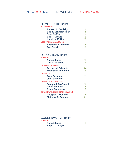| <b>ATTORNEY GENERAL</b>            |                |
|------------------------------------|----------------|
| <b>Richard L. Brodsky</b>          | у              |
| <b>Eric T. Schneiderman</b>        |                |
| <b>Sean Coffey</b>                 | 9              |
| <b>Eric R. Dinallo</b>             | $\overline{2}$ |
| Kathleen M. Rice                   | 15             |
| <b>US SENATOR (Unexpired Term)</b> |                |
| <b>Kirsten E. Gillibrand</b>       | 30             |
| <b>Gail Goode</b>                  | 5              |

## REPUBLICAN Ballot

| <b>GOVERNOR</b>                                        |         |
|--------------------------------------------------------|---------|
| <b>Rick A. Lazio</b>                                   | 19      |
| <b>Carl P. Paladino</b>                                | 18      |
| <b>LIEUTENANT GOVERNOR</b>                             |         |
| <b>Gregory J. Edwards</b><br><b>Thomas V. Ognibene</b> | 24<br>8 |
| <b>US SENATOR</b>                                      |         |
| <b>Gary Berntsen</b>                                   | 19      |
| <b>Jay Townsend</b>                                    | 11      |
| <b>US SENATOR (Unexpired Term)</b>                     |         |
| Joseph J. DioGuardi                                    | 12      |
| <b>David Malpass</b>                                   | 16      |
| <b>Bruce Blakeman</b>                                  | 6       |
| <b>REPRESENTATIVE IN CONGRESS (23rd Dist)</b>          |         |
| Douglas L. Hoffman                                     | 16      |
| <b>Matthew A. Doheny</b>                               | 21      |

| <b>GOVERNOR</b>        |  |
|------------------------|--|
| <b>Rick A. Lazio</b>   |  |
| <b>Ralph C. Lorigo</b> |  |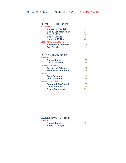| <b>ATTORNEY GENERAL</b>            |     |
|------------------------------------|-----|
| <b>Richard L. Brodsky</b>          | 23  |
| <b>Eric T. Schneiderman</b>        | 23  |
| <b>Sean Coffey</b>                 | 18  |
| <b>Eric R. Dinallo</b>             | 9   |
| Kathleen M. Rice                   | 26  |
| <b>US SENATOR (Unexpired Term)</b> |     |
| <b>Kirsten E. Gillibrand</b>       | 101 |
| <b>Gail Goode</b>                  |     |

## REPUBLICAN Ballot

| <b>GOVERNOR</b>                    |     |
|------------------------------------|-----|
| <b>Rick A. Lazio</b>               | 153 |
| <b>Carl P. Paladino</b>            | 156 |
| <b>LIEUTENANT GOVERNOR</b>         |     |
| <b>Gregory J. Edwards</b>          | 161 |
| <b>Thomas V. Ognibene</b>          | 111 |
| <b>US SENATOR</b>                  |     |
| <b>Gary Berntsen</b>               | 107 |
| <b>Jay Townsend</b>                | 171 |
| <b>US SENATOR (Unexpired Term)</b> |     |
| Joseph J. DioGuardi                | 127 |
| <b>David Malpass</b>               | 115 |
| <b>Bruce Blakeman</b>              | 52  |

| :RNUR                  |  |
|------------------------|--|
| <b>Rick A. Lazio</b>   |  |
| <b>Ralph C. Lorigo</b> |  |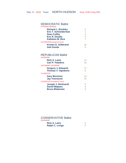| <b>Richard L. Brodsky</b>         |    |
|-----------------------------------|----|
| <b>Eric T. Schneiderman</b>       |    |
| <b>Sean Coffey</b>                |    |
| <b>Eric R. Dinallo</b>            |    |
| <b>Kathleen M. Rice</b>           |    |
| <b>US SENATOR(Unexpired Term)</b> |    |
| <b>Kirsten E. Gillibrand</b>      | 10 |
| <b>Gail Goode</b>                 |    |
|                                   |    |

## REPUBLICAN Ballot

| <b>GOVERNOR</b>                                        |    |
|--------------------------------------------------------|----|
| <b>Rick A. Lazio</b>                                   | 12 |
| <b>Carl P. Paladino</b>                                | 16 |
| <b>LIEUTENANT GOVERNOR</b>                             |    |
| <b>Gregory J. Edwards</b><br><b>Thomas V. Ognibene</b> | 17 |
| <b>US SENATOR</b>                                      |    |
| <b>Gary Berntsen</b>                                   | 10 |
| <b>Jay Townsend</b>                                    | 15 |
| <b>US SENATOR (Unexpired Term)</b>                     |    |
| Joseph J. DioGuardi                                    |    |
| <b>David Malpass</b>                                   |    |
| <b>Bruce Blakeman</b>                                  |    |

| חשוח:                  |  |
|------------------------|--|
| <b>Rick A. Lazio</b>   |  |
| <b>Ralph C. Lorigo</b> |  |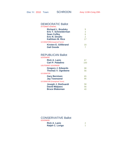| 9  |
|----|
| 3  |
| 6  |
| 2  |
| 17 |
|    |
| 33 |
|    |
|    |

## REPUBLICAN Ballot

| <b>GOVERNOR</b>                    |     |
|------------------------------------|-----|
| <b>Rick A. Lazio</b>               | 67  |
| <b>Carl P. Paladino</b>            | 100 |
| <b>LIEUTENANT GOVERNOR</b>         |     |
| <b>Gregory J. Edwards</b>          | 98  |
| <b>Thomas V. Ognibene</b>          | 56  |
| <b>US SENATOR</b>                  |     |
| <b>Gary Berntsen</b>               | 65  |
| <b>Jay Townsend</b>                | 86  |
| <b>US SENATOR (Unexpired Term)</b> |     |
| Joseph J. DioGuardi                | 58  |
| <b>David Malpass</b>               | 56  |
| <b>Bruce Blakeman</b>              | 40  |

| :RNUR                  |  |
|------------------------|--|
| <b>Rick A. Lazio</b>   |  |
| <b>Ralph C. Lorigo</b> |  |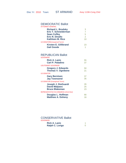| <b>ATTORNEY GENERAL</b>            |    |
|------------------------------------|----|
| <b>Richard L. Brodsky</b>          | 3  |
| <b>Eric T. Schneiderman</b>        |    |
| <b>Sean Coffey</b>                 | 5  |
| <b>Eric R. Dinallo</b>             | 2  |
| Kathleen M. Rice                   | 10 |
| <b>US SENATOR (Unexpired Term)</b> |    |
| <b>Kirsten E. Gillibrand</b>       | 23 |
| <b>Gail Goode</b>                  | 1  |

## REPUBLICAN Ballot

| <b>GOVERNOR</b>                        |    |
|----------------------------------------|----|
| <b>Rick A. Lazio</b>                   | 55 |
| Carl P. Paladino                       | 37 |
| <b>LIEUTENANT GOVERNOR</b>             |    |
| <b>Gregory J. Edwards</b>              | 50 |
| <b>Thomas V. Ognibene</b>              | 21 |
| <b>US SENATOR</b>                      |    |
| <b>Gary Berntsen</b>                   | 37 |
| <b>Jay Townsend</b>                    | 35 |
| <b>US SENATOR (Unexpired Term)</b>     |    |
| Joseph J. DioGuardi                    | 26 |
| <b>David Malpass</b>                   | 25 |
| <b>Bruce Blakeman</b>                  | 23 |
| REPRESENTATIVE IN CONGRESS (23rd Dist) |    |
| Douglas L. Hoffman                     | 90 |
| <b>Matthew A. Doheny</b>               | 16 |

| ERNUR                  |  |
|------------------------|--|
| <b>Rick A. Lazio</b>   |  |
| <b>Ralph C. Lorigo</b> |  |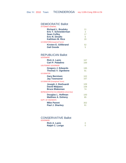| <b>Richard L. Brodsky</b>          | 11 |
|------------------------------------|----|
| <b>Eric T. Schneiderman</b>        | 3  |
| <b>Sean Coffey</b>                 | 17 |
| <b>Eric R. Dinallo</b>             | 6  |
| Kathleen M. Rice                   | 20 |
| <b>US SENATOR (Unexpired Term)</b> |    |
| <b>Kirsten E. Gillibrand</b>       | 52 |
| <b>Gail Goode</b>                  | 5  |
|                                    |    |

## REPUBLICAN Ballot

| <b>GOVERNOR</b>                        |     |
|----------------------------------------|-----|
| <b>Rick A. Lazio</b>                   | 167 |
| <b>Carl P. Paladino</b>                | 169 |
| <b>LIEUTENANT GOVERNOR</b>             |     |
| <b>Gregory J. Edwards</b>              | 195 |
| <b>Thomas V. Ognibene</b>              | 91  |
| <b>US SENATOR</b>                      |     |
| <b>Gary Berntsen</b>                   | 102 |
| <b>Jay Townsend</b>                    | 167 |
| <b>US SENATOR (Unexpired Term)</b>     |     |
| Joseph J. DioGuardi                    | 109 |
| <b>David Malpass</b>                   | 108 |
| <b>Bruce Blakeman</b>                  | 74  |
| REPRESENTATIVE IN CONGRESS (23rd Dist) |     |
| Douglas L. Hoffman                     | 100 |
| <b>Matthew A. Doheny</b>               | 85  |
| <b>SUPT. OF HIGHWAYS</b>               |     |
| <b>Mike Parent</b>                     | 302 |
| <b>Paul J. Sharkey</b>                 | 61  |

| <b>GOVERNOR</b>        |  |
|------------------------|--|
| <b>Rick A. Lazio</b>   |  |
| <b>Ralph C. Lorigo</b> |  |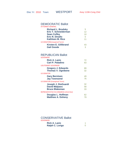| <b>ATTORNEY GENERAL</b>      |    |
|------------------------------|----|
| <b>Richard L. Brodsky</b>    | 5  |
| <b>Eric T. Schneiderman</b>  | 12 |
| <b>Sean Coffey</b>           | 10 |
| <b>Eric R. Dinallo</b>       |    |
| Kathleen M. Rice             | 11 |
| US SENATOR(Unexpired Term)   |    |
| <b>Kirsten E. Gillibrand</b> | 43 |
| <b>Gail Goode</b>            | 3  |

## REPUBLICAN Ballot

| <b>GOVERNOR</b>                        |    |
|----------------------------------------|----|
| <b>Rick A. Lazio</b>                   | 72 |
| Carl P. Paladino                       | 63 |
| <b>LIEUTENANT GOVERNOR</b>             |    |
| <b>Gregory J. Edwards</b>              | 89 |
| <b>Thomas V. Ognibene</b>              | 32 |
| <b>US SENATOR</b>                      |    |
| <b>Gary Berntsen</b>                   | 49 |
| <b>Jay Townsend</b>                    | 76 |
| <b>US SENATOR (Unexpired Term)</b>     |    |
| Joseph J. DioGuardi                    | 32 |
| <b>David Malpass</b>                   | 58 |
| <b>Bruce Blakeman</b>                  | 33 |
| REPRESENTATIVE IN CONGRESS (23rd Dist) |    |
| Douglas L. Hoffman                     | 62 |
| <b>Matthew A. Doheny</b>               |    |

| ERNUR                  |  |
|------------------------|--|
| <b>Rick A. Lazio</b>   |  |
| <b>Ralph C. Lorigo</b> |  |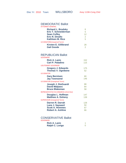| <b>ATTORNEY GENERAL</b>           |                 |
|-----------------------------------|-----------------|
| <b>Richard L. Brodsky</b>         |                 |
| <b>Eric T. Schneiderman</b>       | 5               |
| <b>Sean Coffey</b>                | 12 <sup>2</sup> |
| <b>Eric R. Dinallo</b>            | $\overline{2}$  |
| Kathleen M. Rice                  | 5               |
| <b>US SENATOR(Unexpired Term)</b> |                 |
| <b>Kirsten E. Gillibrand</b>      | 28              |
| <b>Gail Goode</b>                 | 2               |

## REPUBLICAN Ballot

| <b>GOVERNOR</b>                                        |           |
|--------------------------------------------------------|-----------|
| <b>Rick A. Lazio</b>                                   | 152       |
| Carl P. Paladino                                       | 115       |
| <b>LIEUTENANT GOVERNOR</b>                             |           |
| <b>Gregory J. Edwards</b><br><b>Thomas V. Ognibene</b> | 175<br>52 |
| <b>US SENATOR</b>                                      |           |
| <b>Gary Berntsen</b>                                   | 80        |
| <b>Jay Townsend</b>                                    | 146       |
| <b>US SENATOR (Unexpired Term)</b>                     |           |
| Joseph J. DioGuardi                                    | 88        |
| <b>David Malpass</b>                                   | 84        |
| <b>Bruce Blakeman</b>                                  | 58        |
| REPRESENTATIVE IN CONGRESS (23rd Dist)                 |           |
| Douglas L. Hoffman                                     | 147       |
| <b>Matthew A. Doheny</b>                               | 139       |
| <b>SUPERVISOR (Unexpired Term)</b>                     |           |
| Darren R. Darrah                                       | 128       |
| Lane J. Sayward                                        | 50        |
| <b>Scott A. Hommes</b>                                 | 67        |
| <b>Robert A. Ashline</b>                               | 66        |

| ENIVUN                 |  |
|------------------------|--|
| <b>Rick A. Lazio</b>   |  |
| <b>Ralph C. Lorigo</b> |  |
|                        |  |